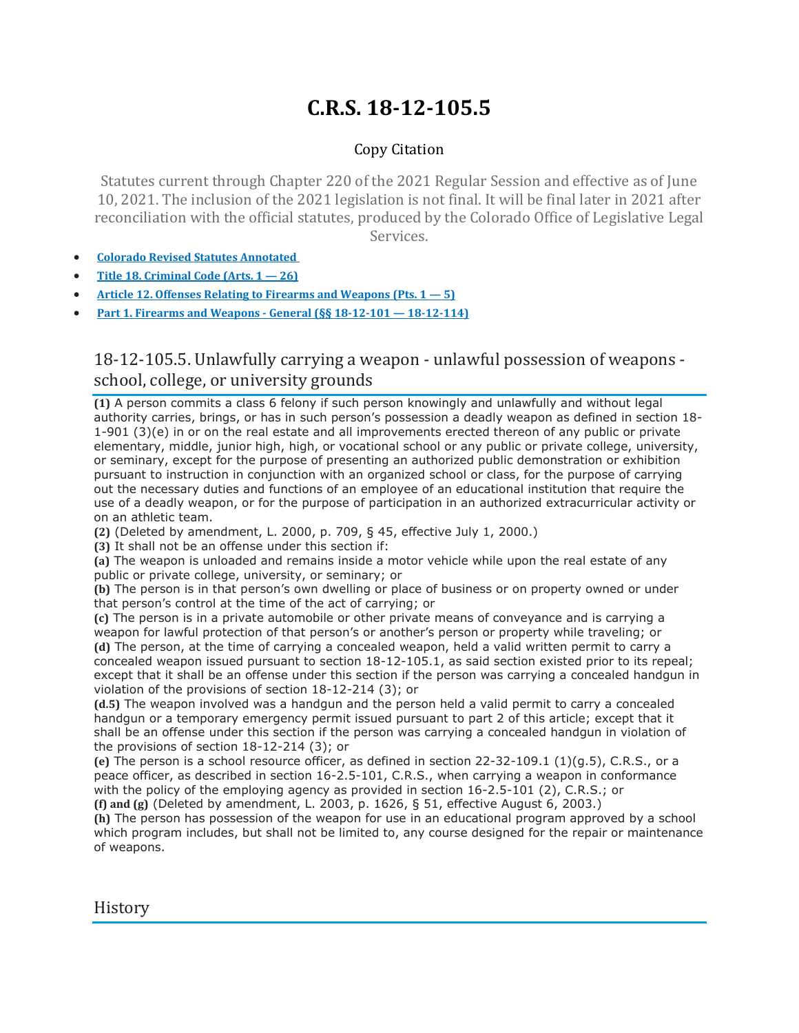# **C.R.S. 18-12-105.5**

## Copy Citation

Statutes current through Chapter 220 of the 2021 Regular Session and effective as of June 10, 2021. The inclusion of the 2021 legislation is not final. It will be final later in 2021 after reconciliation with the official statutes, produced by the Colorado Office of Legislative Legal Services.

- **Colorado Revised Statutes [Annotated](https://advance.lexis.com/documentpage/?pdmfid=1000516&crid=8846bde3-5749-43ab-8e1a-9151a61c426e&pdistocdocslideraccess=true&config=014FJAAyNGJkY2Y4Zi1mNjgyLTRkN2YtYmE4OS03NTYzNzYzOTg0OGEKAFBvZENhdGFsb2d592qv2Kywlf8caKqYROP5&pddocfullpath=%2Fshared%2Fdocument%2Fstatutes-legislation%2Furn%3AcontentItem%3A61P5-WSW1-DYDC-J3CB-00008-00&pdcomponentid=234177&pdtocnodeidentifier=AASAAWAABAAJ&ecomp=sssdkkk&prid=8cb97805-6688-4cca-af14-91813ff61990)**
- **Title 18. [Criminal](https://advance.lexis.com/documentpage/?pdmfid=1000516&crid=8846bde3-5749-43ab-8e1a-9151a61c426e&pdistocdocslideraccess=true&config=014FJAAyNGJkY2Y4Zi1mNjgyLTRkN2YtYmE4OS03NTYzNzYzOTg0OGEKAFBvZENhdGFsb2d592qv2Kywlf8caKqYROP5&pddocfullpath=%2Fshared%2Fdocument%2Fstatutes-legislation%2Furn%3AcontentItem%3A61P5-WSW1-DYDC-J3CB-00008-00&pdcomponentid=234177&pdtocnodeidentifier=AASAAWAABAAJ&ecomp=sssdkkk&prid=8cb97805-6688-4cca-af14-91813ff61990) Code (Arts. 1 — 26)**
- **Article 12. Offenses Relating to Firearms and [Weapons](https://advance.lexis.com/documentpage/?pdmfid=1000516&crid=8846bde3-5749-43ab-8e1a-9151a61c426e&pdistocdocslideraccess=true&config=014FJAAyNGJkY2Y4Zi1mNjgyLTRkN2YtYmE4OS03NTYzNzYzOTg0OGEKAFBvZENhdGFsb2d592qv2Kywlf8caKqYROP5&pddocfullpath=%2Fshared%2Fdocument%2Fstatutes-legislation%2Furn%3AcontentItem%3A61P5-WSW1-DYDC-J3CB-00008-00&pdcomponentid=234177&pdtocnodeidentifier=AASAAWAABAAJ&ecomp=sssdkkk&prid=8cb97805-6688-4cca-af14-91813ff61990) (Pts. 1 — 5)**
- **Part 1. Firearms and Weapons - General (§§ 18-12-101 — [18-12-114\)](https://advance.lexis.com/documentpage/?pdmfid=1000516&crid=8846bde3-5749-43ab-8e1a-9151a61c426e&pdistocdocslideraccess=true&config=014FJAAyNGJkY2Y4Zi1mNjgyLTRkN2YtYmE4OS03NTYzNzYzOTg0OGEKAFBvZENhdGFsb2d592qv2Kywlf8caKqYROP5&pddocfullpath=%2Fshared%2Fdocument%2Fstatutes-legislation%2Furn%3AcontentItem%3A61P5-WSW1-DYDC-J3CB-00008-00&pdcomponentid=234177&pdtocnodeidentifier=AASAAWAABAAJ&ecomp=sssdkkk&prid=8cb97805-6688-4cca-af14-91813ff61990)**

## 18-12-105.5. Unlawfully carrying a weapon - unlawful possession of weapons school, college, or university grounds

**(1)** A person commits a class 6 felony if such person knowingly and unlawfully and without legal authority carries, brings, or has in such person's possession a deadly weapon as defined in section 18- 1-901 (3)(e) in or on the real estate and all improvements erected thereon of any public or private elementary, middle, junior high, high, or vocational school or any public or private college, university, or seminary, except for the purpose of presenting an authorized public demonstration or exhibition pursuant to instruction in conjunction with an organized school or class, for the purpose of carrying out the necessary duties and functions of an employee of an educational institution that require the use of a deadly weapon, or for the purpose of participation in an authorized extracurricular activity or on an athletic team.

**(2)** (Deleted by amendment, L. 2000, p. 709, § 45, effective July 1, 2000.)

**(3)** It shall not be an offense under this section if:

**(a)** The weapon is unloaded and remains inside a motor vehicle while upon the real estate of any public or private college, university, or seminary; or

**(b)** The person is in that person's own dwelling or place of business or on property owned or under that person's control at the time of the act of carrying; or

**(c)** The person is in a private automobile or other private means of conveyance and is carrying a weapon for lawful protection of that person's or another's person or property while traveling; or **(d)** The person, at the time of carrying a concealed weapon, held a valid written permit to carry a concealed weapon issued pursuant to section 18-12-105.1, as said section existed prior to its repeal; except that it shall be an offense under this section if the person was carrying a concealed handgun in violation of the provisions of section 18-12-214 (3); or

**(d.5)** The weapon involved was a handgun and the person held a valid permit to carry a concealed handgun or a temporary emergency permit issued pursuant to part 2 of this article; except that it shall be an offense under this section if the person was carrying a concealed handgun in violation of the provisions of section 18-12-214 (3); or

**(e)** The person is a school resource officer, as defined in section 22-32-109.1 (1)(g.5), C.R.S., or a peace officer, as described in section 16-2.5-101, C.R.S., when carrying a weapon in conformance with the policy of the employing agency as provided in section 16-2.5-101 (2), C.R.S.; or **(f) and (g)** (Deleted by amendment, L. 2003, p. 1626, § 51, effective August 6, 2003.)

**(h)** The person has possession of the weapon for use in an educational program approved by a school which program includes, but shall not be limited to, any course designed for the repair or maintenance of weapons.